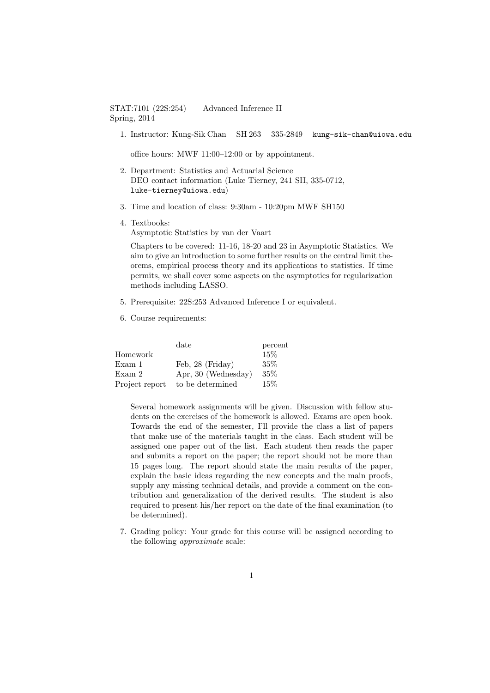## STAT:7101 (22S:254) Advanced Inference II Spring, 2014

1. Instructor: Kung-Sik Chan SH 263 335-2849 kung-sik-chan@uiowa.edu

office hours: MWF 11:00–12:00 or by appointment.

- 2. Department: Statistics and Actuarial Science DEO contact information (Luke Tierney, 241 SH, 335-0712, luke-tierney@uiowa.edu)
- 3. Time and location of class: 9:30am 10:20pm MWF SH150
- 4. Textbooks:

Asymptotic Statistics by van der Vaart

Chapters to be covered: 11-16, 18-20 and 23 in Asymptotic Statistics. We aim to give an introduction to some further results on the central limit theorems, empirical process theory and its applications to statistics. If time permits, we shall cover some aspects on the asymptotics for regularization methods including LASSO.

- 5. Prerequisite: 22S:253 Advanced Inference I or equivalent.
- 6. Course requirements:

|                | date                | percent |
|----------------|---------------------|---------|
| Homework       |                     | 15%     |
| Exam 1         | Feb, 28 (Friday)    | $35\%$  |
| Exam 2         | Apr, 30 (Wednesday) | 35%     |
| Project report | to be determined    | 15\%    |

Several homework assignments will be given. Discussion with fellow students on the exercises of the homework is allowed. Exams are open book. Towards the end of the semester, I'll provide the class a list of papers that make use of the materials taught in the class. Each student will be assigned one paper out of the list. Each student then reads the paper and submits a report on the paper; the report should not be more than 15 pages long. The report should state the main results of the paper, explain the basic ideas regarding the new concepts and the main proofs, supply any missing technical details, and provide a comment on the contribution and generalization of the derived results. The student is also required to present his/her report on the date of the final examination (to be determined).

7. Grading policy: Your grade for this course will be assigned according to the following approximate scale: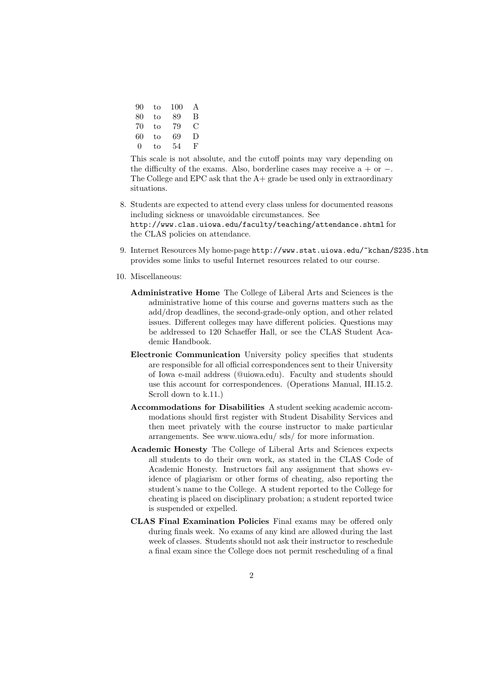| 90 | to | 100 | A  |
|----|----|-----|----|
| 80 | to | 89  | В  |
| 70 | to | 79  | ⊖  |
| 60 | to | 69  | Ð  |
| 0  | to | 54  | Ъ, |

This scale is not absolute, and the cutoff points may vary depending on the difficulty of the exams. Also, borderline cases may receive  $a + or -$ . The College and EPC ask that the  $A+$  grade be used only in extraordinary situations.

- 8. Students are expected to attend every class unless for documented reasons including sickness or unavoidable circumstances. See http://www.clas.uiowa.edu/faculty/teaching/attendance.shtml for the CLAS policies on attendance.
- 9. Internet Resources My home-page http://www.stat.uiowa.edu/~kchan/S235.htm provides some links to useful Internet resources related to our course.
- 10. Miscellaneous:
	- Administrative Home The College of Liberal Arts and Sciences is the administrative home of this course and governs matters such as the add/drop deadlines, the second-grade-only option, and other related issues. Different colleges may have different policies. Questions may be addressed to 120 Schaeffer Hall, or see the CLAS Student Academic Handbook.
	- Electronic Communication University policy specifies that students are responsible for all official correspondences sent to their University of Iowa e-mail address (@uiowa.edu). Faculty and students should use this account for correspondences. (Operations Manual, III.15.2. Scroll down to k.11.)
	- Accommodations for Disabilities A student seeking academic accommodations should first register with Student Disability Services and then meet privately with the course instructor to make particular arrangements. See www.uiowa.edu/ sds/ for more information.
	- Academic Honesty The College of Liberal Arts and Sciences expects all students to do their own work, as stated in the CLAS Code of Academic Honesty. Instructors fail any assignment that shows evidence of plagiarism or other forms of cheating, also reporting the student's name to the College. A student reported to the College for cheating is placed on disciplinary probation; a student reported twice is suspended or expelled.
	- CLAS Final Examination Policies Final exams may be offered only during finals week. No exams of any kind are allowed during the last week of classes. Students should not ask their instructor to reschedule a final exam since the College does not permit rescheduling of a final